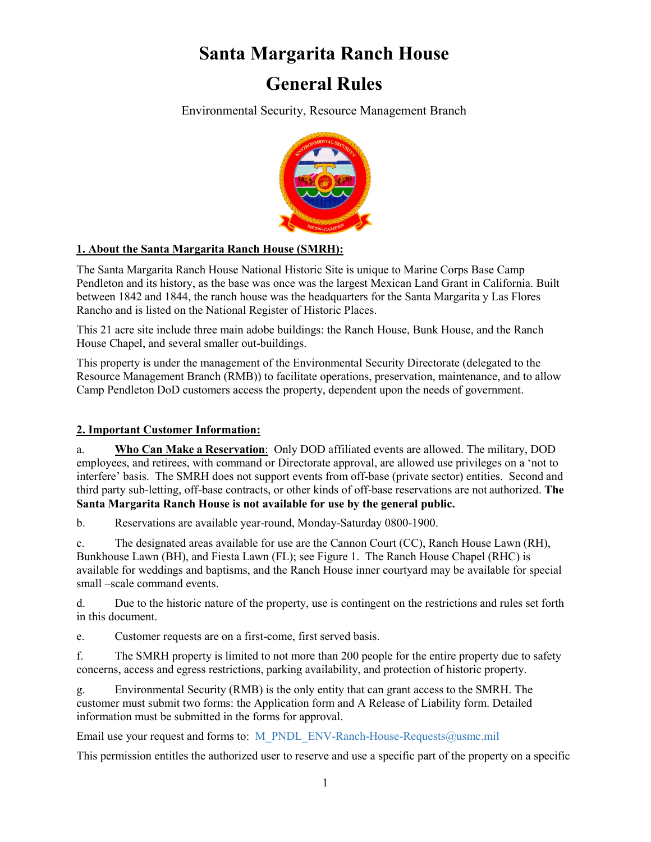### **Santa Margarita Ranch House**

### **General Rules**

Environmental Security, Resource Management Branch



#### **1. About the Santa Margarita Ranch House (SMRH):**

The Santa Margarita Ranch House National Historic Site is unique to Marine Corps Base Camp Pendleton and its history, as the base was once was the largest Mexican Land Grant in California. Built between 1842 and 1844, the ranch house was the headquarters for the Santa Margarita y Las Flores Rancho and is listed on the National Register of Historic Places.

This 21 acre site include three main adobe buildings: the Ranch House, Bunk House, and the Ranch House Chapel, and several smaller out-buildings.

This property is under the management of the Environmental Security Directorate (delegated to the Resource Management Branch (RMB)) to facilitate operations, preservation, maintenance, and to allow Camp Pendleton DoD customers access the property, dependent upon the needs of government.

#### **2. Important Customer Information:**

a. **Who Can Make a Reservation**: Only DOD affiliated events are allowed. The military, DOD employees, and retirees, with command or Directorate approval, are allowed use privileges on a 'not to interfere' basis. The SMRH does not support events from off-base (private sector) entities. Second and third party sub-letting, off-base contracts, or other kinds of off-base reservations are not authorized. **The Santa Margarita Ranch House is not available for use by the general public.**

b. Reservations are available year-round, Monday-Saturday 0800-1900.

c. The designated areas available for use are the Cannon Court (CC), Ranch House Lawn (RH), Bunkhouse Lawn (BH), and Fiesta Lawn (FL); see Figure 1. The Ranch House Chapel (RHC) is available for weddings and baptisms, and the Ranch House inner courtyard may be available for special small –scale command events.

d. Due to the historic nature of the property, use is contingent on the restrictions and rules set forth in this document.

e. Customer requests are on a first-come, first served basis.

f. The SMRH property is limited to not more than 200 people for the entire property due to safety concerns, access and egress restrictions, parking availability, and protection of historic property.

g. Environmental Security (RMB) is the only entity that can grant access to the SMRH. The customer must submit two forms: the Application form and A Release of Liability form. Detailed information must be submitted in the forms for approval.

Email use your request and forms to: M\_PNDL\_ENV-Ranch-House-Requests@usmc.mil

This permission entitles the authorized user to reserve and use a specific part of the property on a specific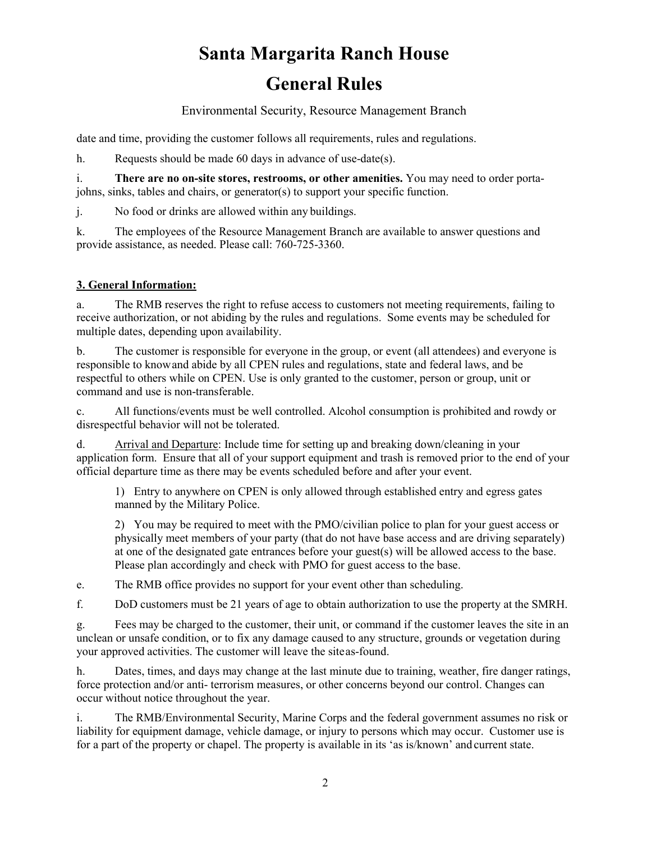Environmental Security, Resource Management Branch

date and time, providing the customer follows all requirements, rules and regulations.

h. Requests should be made 60 days in advance of use-date(s).

i. **There are no on-site stores, restrooms, or other amenities.** You may need to order portajohns, sinks, tables and chairs, or generator(s) to support your specific function.

j. No food or drinks are allowed within any buildings.

k. The employees of the Resource Management Branch are available to answer questions and provide assistance, as needed. Please call: 760-725-3360.

#### **3. General Information:**

a. The RMB reserves the right to refuse access to customers not meeting requirements, failing to receive authorization, or not abiding by the rules and regulations. Some events may be scheduled for multiple dates, depending upon availability.

b. The customer is responsible for everyone in the group, or event (all attendees) and everyone is responsible to knowand abide by all CPEN rules and regulations, state and federal laws, and be respectful to others while on CPEN. Use is only granted to the customer, person or group, unit or command and use is non-transferable.

c. All functions/events must be well controlled. Alcohol consumption is prohibited and rowdy or disrespectful behavior will not be tolerated.

d. Arrival and Departure: Include time for setting up and breaking down/cleaning in your application form. Ensure that all of your support equipment and trash is removed prior to the end of your official departure time as there may be events scheduled before and after your event.

1) Entry to anywhere on CPEN is only allowed through established entry and egress gates manned by the Military Police.

2) You may be required to meet with the PMO/civilian police to plan for your guest access or physically meet members of your party (that do not have base access and are driving separately) at one of the designated gate entrances before your guest(s) will be allowed access to the base. Please plan accordingly and check with PMO for guest access to the base.

e. The RMB office provides no support for your event other than scheduling.

f. DoD customers must be 21 years of age to obtain authorization to use the property at the SMRH.

g. Fees may be charged to the customer, their unit, or command if the customer leaves the site in an unclean or unsafe condition, or to fix any damage caused to any structure, grounds or vegetation during your approved activities. The customer will leave the siteas-found.

h. Dates, times, and days may change at the last minute due to training, weather, fire danger ratings, force protection and/or anti- terrorism measures, or other concerns beyond our control. Changes can occur without notice throughout the year.

i. The RMB/Environmental Security, Marine Corps and the federal government assumes no risk or liability for equipment damage, vehicle damage, or injury to persons which may occur. Customer use is for a part of the property or chapel. The property is available in its 'as is/known' and current state.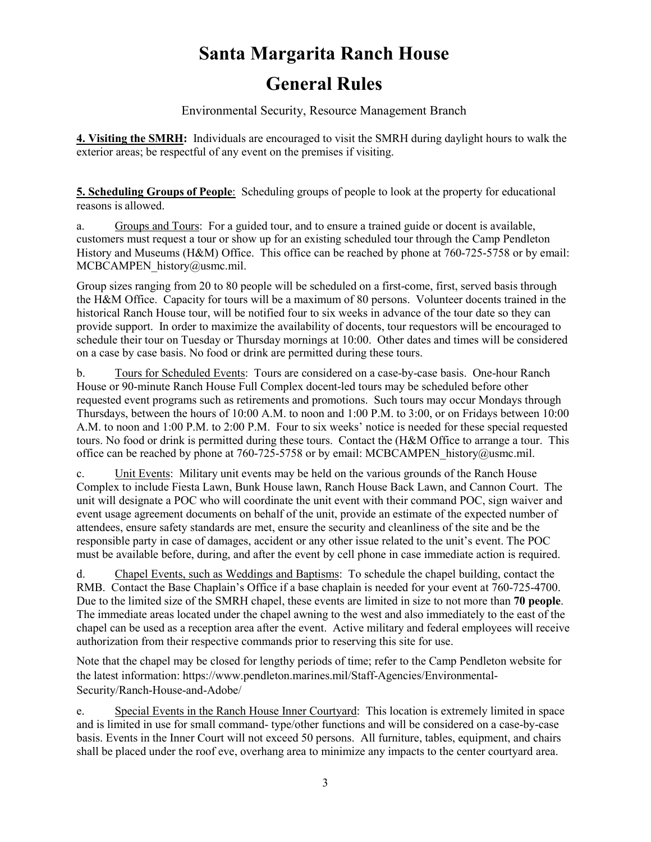Environmental Security, Resource Management Branch

**4. Visiting the SMRH:** Individuals are encouraged to visit the SMRH during daylight hours to walk the exterior areas; be respectful of any event on the premises if visiting.

**5. Scheduling Groups of People**: Scheduling groups of people to look at the property for educational reasons is allowed.

a. Groups and Tours: For a guided tour, and to ensure a trained guide or docent is available, customers must request a tour or show up for an existing scheduled tour through the Camp Pendleton History and Museums (H&M) Office. This office can be reached by phone at 760-725-5758 or by email: MCBCAMPEN\_history@usmc.mil.

Group sizes ranging from 20 to 80 people will be scheduled on a first-come, first, served basis through the H&M Office. Capacity for tours will be a maximum of 80 persons. Volunteer docents trained in the historical Ranch House tour, will be notified four to six weeks in advance of the tour date so they can provide support. In order to maximize the availability of docents, tour requestors will be encouraged to schedule their tour on Tuesday or Thursday mornings at 10:00. Other dates and times will be considered on a case by case basis. No food or drink are permitted during these tours.

b. Tours for Scheduled Events: Tours are considered on a case-by-case basis. One-hour Ranch House or 90-minute Ranch House Full Complex docent-led tours may be scheduled before other requested event programs such as retirements and promotions. Such tours may occur Mondays through Thursdays, between the hours of 10:00 A.M. to noon and 1:00 P.M. to 3:00, or on Fridays between 10:00 A.M. to noon and 1:00 P.M. to 2:00 P.M. Four to six weeks' notice is needed for these special requested tours. No food or drink is permitted during these tours. Contact the (H&M Office to arrange a tour. This office can be reached by phone at 760-725-5758 or by email: MCBCAMPEN history@usmc.mil.

c. Unit Events: Military unit events may be held on the various grounds of the Ranch House Complex to include Fiesta Lawn, Bunk House lawn, Ranch House Back Lawn, and Cannon Court. The unit will designate a POC who will coordinate the unit event with their command POC, sign waiver and event usage agreement documents on behalf of the unit, provide an estimate of the expected number of attendees, ensure safety standards are met, ensure the security and cleanliness of the site and be the responsible party in case of damages, accident or any other issue related to the unit's event. The POC must be available before, during, and after the event by cell phone in case immediate action is required.

d. Chapel Events, such as Weddings and Baptisms: To schedule the chapel building, contact the RMB. Contact the Base Chaplain's Office if a base chaplain is needed for your event at 760-725-4700. Due to the limited size of the SMRH chapel, these events are limited in size to not more than **70 people**. The immediate areas located under the chapel awning to the west and also immediately to the east of the chapel can be used as a reception area after the event. Active military and federal employees will receive authorization from their respective commands prior to reserving this site for use.

Note that the chapel may be closed for lengthy periods of time; refer to the Camp Pendleton website for the latest information: https://www.pendleton.marines.mil/Staff-Agencies/Environmental-Security/Ranch-House-and-Adobe/

e. Special Events in the Ranch House Inner Courtyard: This location is extremely limited in space and is limited in use for small command- type/other functions and will be considered on a case-by-case basis. Events in the Inner Court will not exceed 50 persons. All furniture, tables, equipment, and chairs shall be placed under the roof eve, overhang area to minimize any impacts to the center courtyard area.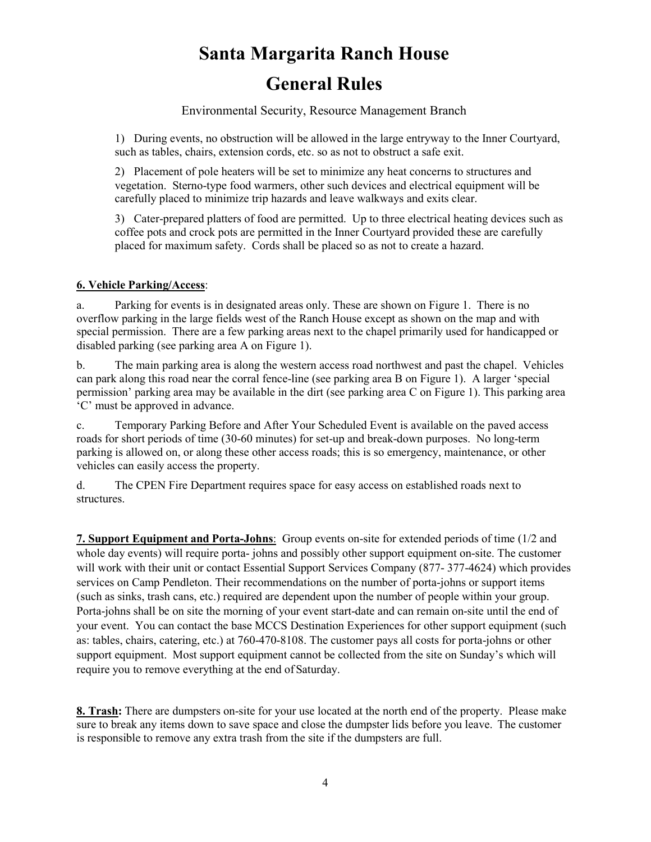Environmental Security, Resource Management Branch

1) During events, no obstruction will be allowed in the large entryway to the Inner Courtyard, such as tables, chairs, extension cords, etc. so as not to obstruct a safe exit.

2) Placement of pole heaters will be set to minimize any heat concerns to structures and vegetation. Sterno-type food warmers, other such devices and electrical equipment will be carefully placed to minimize trip hazards and leave walkways and exits clear.

3) Cater-prepared platters of food are permitted. Up to three electrical heating devices such as coffee pots and crock pots are permitted in the Inner Courtyard provided these are carefully placed for maximum safety. Cords shall be placed so as not to create a hazard.

#### **6. Vehicle Parking/Access**:

a. Parking for events is in designated areas only. These are shown on Figure 1. There is no overflow parking in the large fields west of the Ranch House except as shown on the map and with special permission. There are a few parking areas next to the chapel primarily used for handicapped or disabled parking (see parking area A on Figure 1).

b. The main parking area is along the western access road northwest and past the chapel. Vehicles can park along this road near the corral fence-line (see parking area B on Figure 1). A larger 'special permission' parking area may be available in the dirt (see parking area C on Figure 1). This parking area 'C' must be approved in advance.

c. Temporary Parking Before and After Your Scheduled Event is available on the paved access roads for short periods of time (30-60 minutes) for set-up and break-down purposes. No long-term parking is allowed on, or along these other access roads; this is so emergency, maintenance, or other vehicles can easily access the property.

d. The CPEN Fire Department requires space for easy access on established roads next to structures.

**7. Support Equipment and Porta-Johns**: Group events on-site for extended periods of time (1/2 and whole day events) will require porta- johns and possibly other support equipment on-site. The customer will work with their unit or contact Essential Support Services Company (877- 377-4624) which provides services on Camp Pendleton. Their recommendations on the number of porta-johns or support items (such as sinks, trash cans, etc.) required are dependent upon the number of people within your group. Porta-johns shall be on site the morning of your event start-date and can remain on-site until the end of your event. You can contact the base MCCS Destination Experiences for other support equipment (such as: tables, chairs, catering, etc.) at 760-470-8108. The customer pays all costs for porta-johns or other support equipment. Most support equipment cannot be collected from the site on Sunday's which will require you to remove everything at the end of Saturday.

**8. Trash:** There are dumpsters on-site for your use located at the north end of the property. Please make sure to break any items down to save space and close the dumpster lids before you leave. The customer is responsible to remove any extra trash from the site if the dumpsters are full.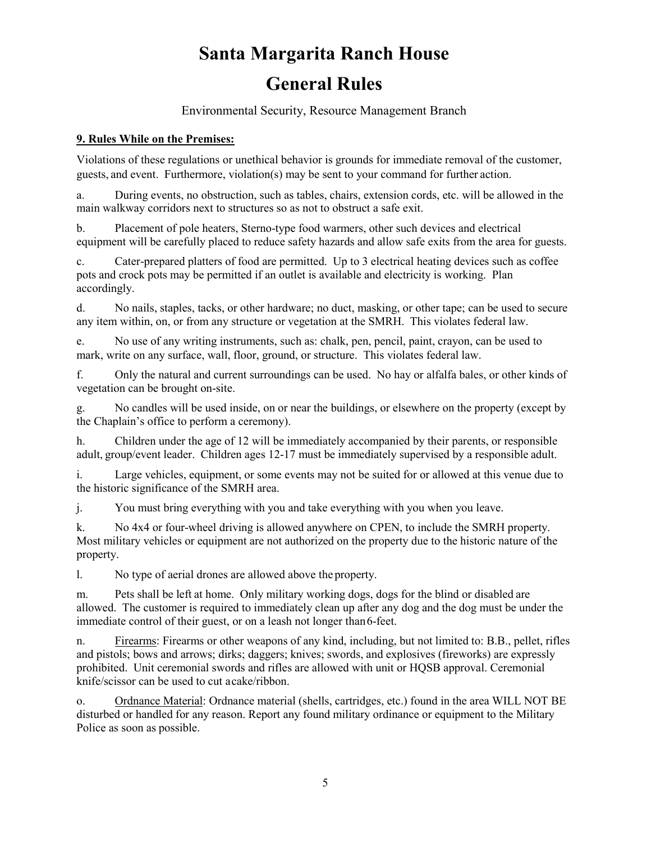Environmental Security, Resource Management Branch

#### **9. Rules While on the Premises:**

Violations of these regulations or unethical behavior is grounds for immediate removal of the customer, guests, and event. Furthermore, violation(s) may be sent to your command for further action.

a. During events, no obstruction, such as tables, chairs, extension cords, etc. will be allowed in the main walkway corridors next to structures so as not to obstruct a safe exit.

b. Placement of pole heaters, Sterno-type food warmers, other such devices and electrical equipment will be carefully placed to reduce safety hazards and allow safe exits from the area for guests.

c. Cater-prepared platters of food are permitted. Up to 3 electrical heating devices such as coffee pots and crock pots may be permitted if an outlet is available and electricity is working. Plan accordingly.

d. No nails, staples, tacks, or other hardware; no duct, masking, or other tape; can be used to secure any item within, on, or from any structure or vegetation at the SMRH. This violates federal law.

e. No use of any writing instruments, such as: chalk, pen, pencil, paint, crayon, can be used to mark, write on any surface, wall, floor, ground, or structure. This violates federal law.

f. Only the natural and current surroundings can be used. No hay or alfalfa bales, or other kinds of vegetation can be brought on-site.

g. No candles will be used inside, on or near the buildings, or elsewhere on the property (except by the Chaplain's office to perform a ceremony).

h. Children under the age of 12 will be immediately accompanied by their parents, or responsible adult, group/event leader. Children ages 12-17 must be immediately supervised by a responsible adult.

i. Large vehicles, equipment, or some events may not be suited for or allowed at this venue due to the historic significance of the SMRH area.

j. You must bring everything with you and take everything with you when you leave.

k. No 4x4 or four-wheel driving is allowed anywhere on CPEN, to include the SMRH property. Most military vehicles or equipment are not authorized on the property due to the historic nature of the property.

l. No type of aerial drones are allowed above the property.

m. Pets shall be left at home. Only military working dogs, dogs for the blind or disabled are allowed. The customer is required to immediately clean up after any dog and the dog must be under the immediate control of their guest, or on a leash not longer than 6-feet.

n. Firearms: Firearms or other weapons of any kind, including, but not limited to: B.B., pellet, rifles and pistols; bows and arrows; dirks; daggers; knives; swords, and explosives (fireworks) are expressly prohibited. Unit ceremonial swords and rifles are allowed with unit or HQSB approval. Ceremonial knife/scissor can be used to cut acake/ribbon.

o. Ordnance Material: Ordnance material (shells, cartridges, etc.) found in the area WILL NOT BE disturbed or handled for any reason. Report any found military ordinance or equipment to the Military Police as soon as possible.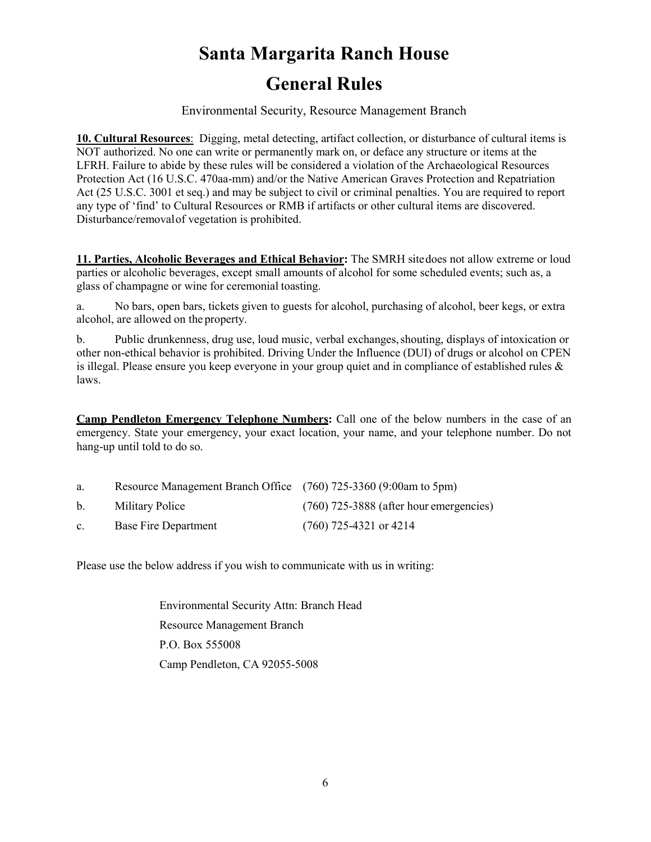Environmental Security, Resource Management Branch

**10. Cultural Resources**: Digging, metal detecting, artifact collection, or disturbance of cultural items is NOT authorized. No one can write or permanently mark on, or deface any structure or items at the LFRH. Failure to abide by these rules will be considered a violation of the Archaeological Resources Protection Act (16 U.S.C. 470aa-mm) and/or the Native American Graves Protection and Repatriation Act (25 U.S.C. 3001 et seq.) and may be subject to civil or criminal penalties. You are required to report any type of 'find' to Cultural Resources or RMB if artifacts or other cultural items are discovered. Disturbance/removalof vegetation is prohibited.

**11. Parties, Alcoholic Beverages and Ethical Behavior:** The SMRH sitedoes not allow extreme or loud parties or alcoholic beverages, except small amounts of alcohol for some scheduled events; such as, a glass of champagne or wine for ceremonial toasting.

a. No bars, open bars, tickets given to guests for alcohol, purchasing of alcohol, beer kegs, or extra alcohol, are allowed on the property.

b. Public drunkenness, drug use, loud music, verbal exchanges,shouting, displays of intoxication or other non-ethical behavior is prohibited. Driving Under the Influence (DUI) of drugs or alcohol on CPEN is illegal. Please ensure you keep everyone in your group quiet and in compliance of established rules & laws.

**Camp Pendleton Emergency Telephone Numbers:** Call one of the below numbers in the case of an emergency. State your emergency, your exact location, your name, and your telephone number. Do not hang-up until told to do so.

| a.             | Resource Management Branch Office (760) 725-3360 (9:00am to 5pm) |                                           |
|----------------|------------------------------------------------------------------|-------------------------------------------|
| $b_{-}$        | Military Police                                                  | $(760)$ 725-3888 (after hour emergencies) |
| $\mathbf{c}$ . | Base Fire Department                                             | $(760)$ 725-4321 or 4214                  |

Please use the below address if you wish to communicate with us in writing:

Environmental Security Attn: Branch Head Resource Management Branch P.O. Box 555008 Camp Pendleton, CA 92055-5008